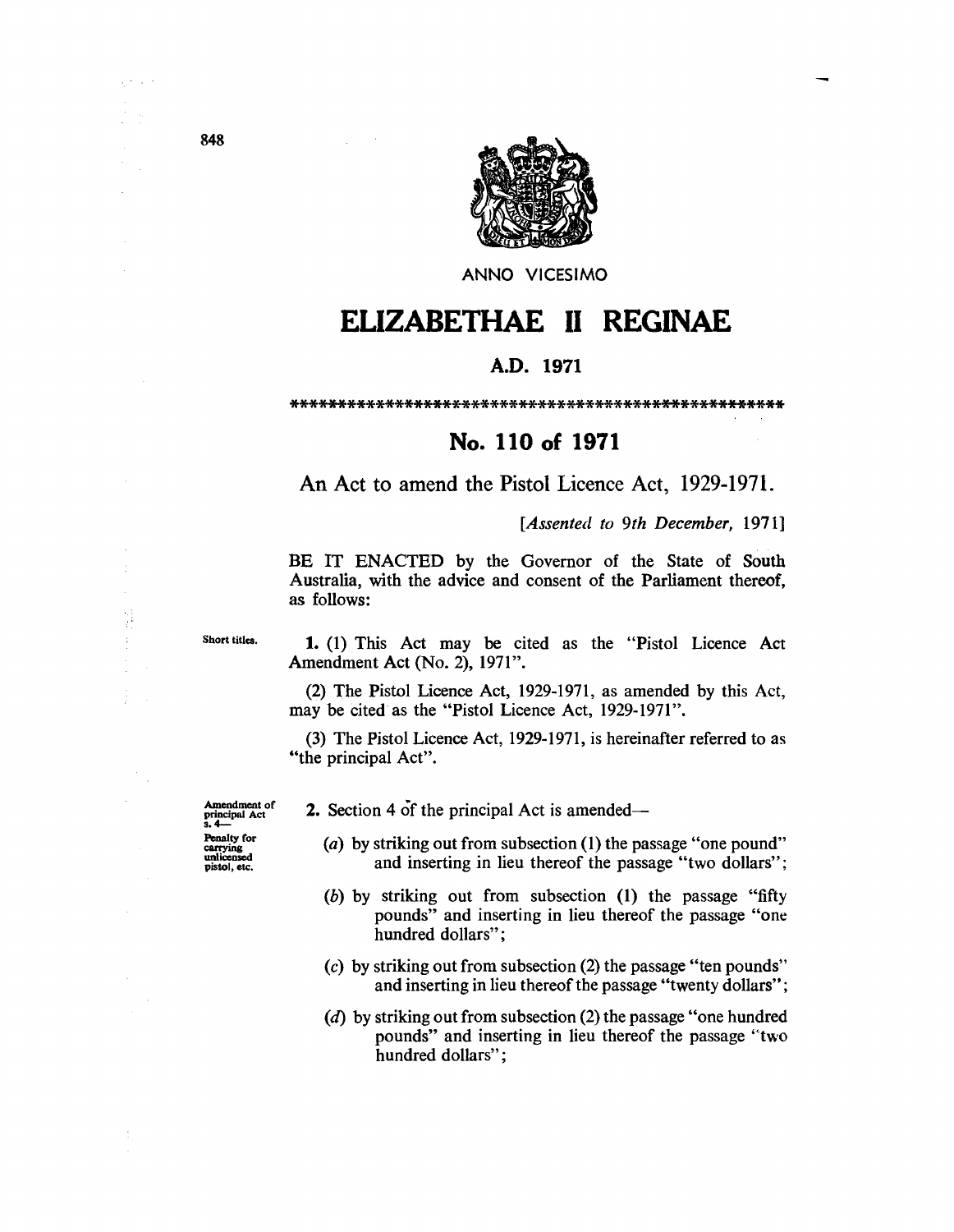

ANNO VICESIMO

## **ELIZABETHAE 11 REGINAE**

## A.D. **1971**

\*\*\*\*\*\*\*\*\*\*\*\*\*\*\*\*\*\*\*\*\*\*\*\*\*\*\*\*\*\*\*\*\*\*\*\*\*\*\*\*\*\*\*\*\*\*\*\*\*\*\*\*

## **No. 110 of 1971**

An Act to amend the Pistol Licence Act, 1929-1971.

*[Assented to 9th December, 1971]* 

BE IT ENACTED by the Governor of the State of South Australia, with the advice and consent of the Parliament thereof, as follows:

Short titles.

 $\begin{bmatrix} x_1 \\ x_2 \\ x_3 \end{bmatrix}$ 

 $\frac{1}{2}$ 

1. (1) This Act may be cited as the "Pistol Licence Act Amendment Act (No. 2), 1971".

(2) The Pistol Licence Act, 1929-1971, as amended by this Act, may be cited as the "Pistol Licence Act, 1929-1971".

(3) The Pistol Licence Act, 1929-1971, is hereinafter referred to as "the principal Act".

Amendment of

- 2. Section 4 of the principal Act is amended—
	- (a) by striking out from subsection (1) the passage "one pound" and inserting in lieu thereof the passage "two dollars";
	- (b) by striking out from subsection (1) the passage "fifty pounds" and inserting in lieu thereof the passage "one hundred dollars";
	- (c) by striking out from subsection (2) the passage "ten pounds" and inserting in lieu thereof the passage "twenty dollars";
	- (d) by striking out from subsection (2) the passage "one hundred pounds" and inserting in lieu thereof the passage '<two hundred dollars";

principal Act<br>s. 4-Penalty for carrying unlicensed pistol, etc.

 $\chi$  -  $\chi$  -  $\chi$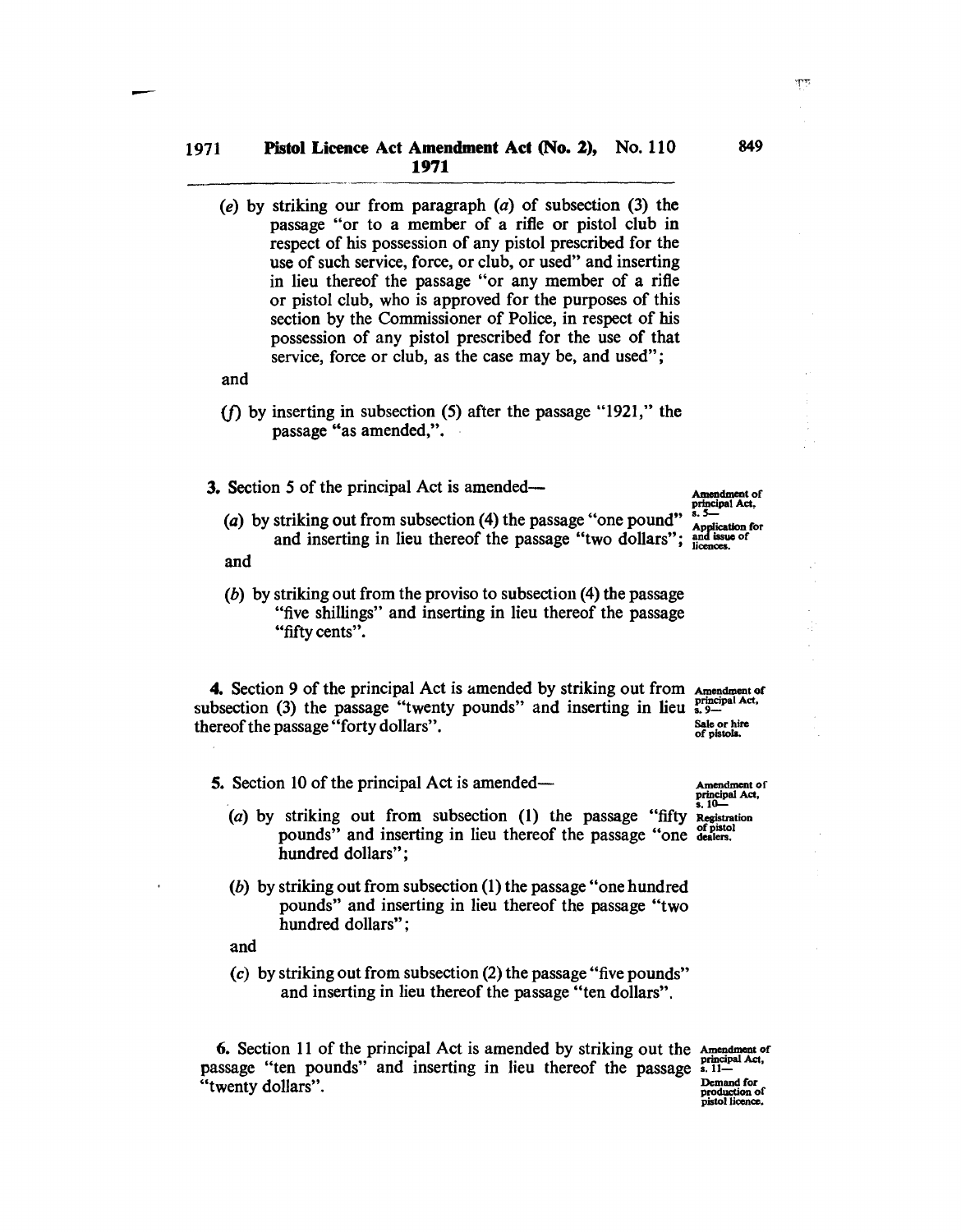(e) by striking our from paragraph  $(a)$  of subsection  $(3)$  the passage "or to a member of a rifle or pistol club in respect of his possession of any pistol prescribed for the use of such service, force, or club, or used" and inserting in lieu thereof the passage "or any member of a rifle or pistol club, who is approved for the purposes of this section by the Commissioner of Police, in respect of his possession of any pistol prescribed for the use of that service, force or club, as the case may be, and used";

and

- (f) by inserting in subsection (5) after the passage "1921," the passage "as amended,".
- 3. Section 5 of the principal Act is amended—
	- (a) by striking out from subsection (4) the passage "one pound"  $\frac{1}{\text{Application for}}$ and inserting in lieu thereof the passage "two dollars";  $\frac{and}{l}$  issue of
	- and
	- (b) by striking out from the proviso to subsection (4) the passage "five shillings" and inserting in lieu thereof the passage "fifty cents".

4. Section 9 of the principal Act is amended by striking out from Amendment of subsection (3) the passage "twenty pounds" and inserting in lieu  $_{3.9-}^{3.7}$ thereof the passage "forty dollars". Sale or hire • Sale or hire • of pistols.

- 5. Section 10 of the principal Act is amended— Amendment of
	- (a) by striking out from subsection  $(1)$  the passage "fifty Registration pounds" and inserting in lieu thereof the passage "one dealers. hundred dollars";
	- (b) by striking out from subsection (1) the passage "one hundred pounds" and inserting in lieu thereof the passage "two hundred dollars":

and

(c) by striking out from subsection (2) the passage "five pounds" and inserting in lieu thereof the passage "ten dollars".

6. Section 11 of the principal Act is amended by striking out the Amendment of passage "ten pounds" and inserting in lieu thereof the passage  $\frac{1}{2}$ . Demand for  $\frac{1}{2}$ "twenty dollars".  $\frac{Demand for}{production of}$ <br>"twenty dollars".

principal Act,<br>s. 10-

Amendment of<br>principal Act,<br>s. 5

849